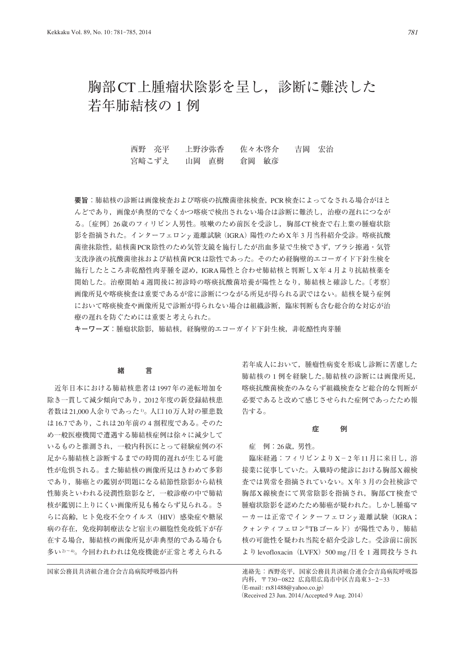# 胸部CT上腫瘤状陰影を呈し,診断に難渋した 若年肺結核の 1 例

西野 亮平 上野沙弥香 佐々木啓介 吉岡 宏治 宮崎こずえ 山岡 直樹 倉岡 敏彦

**要旨**:肺結核の診断は画像検査および喀痰の抗酸菌塗抹検査,PCR検査によってなされる場合がほと んどであり,画像が典型的でなくかつ喀痰で検出されない場合は診断に難渋し,治療の遅れにつなが る。〔症例〕26歳のフィリピン人男性。咳嗽のため前医を受診し,胸部CT検査で右上葉の腫瘤状陰 影を指摘された。インターフェロンγ遊離試験(IGRA)陽性のためX年 3 月当科紹介受診。喀痰抗酸 菌塗抹陰性,結核菌PCR陰性のため気管支鏡を施行したが出血多量で生検できず,ブラシ擦過・気管 支洗浄液の抗酸菌塗抹および結核菌PCRは陰性であった。そのため経胸壁的エコーガイド下針生検を 施行したところ非乾酪性肉芽腫を認め,IGRA陽性と合わせ肺結核と判断しX年 4 月より抗結核薬を 開始した。治療開始 4 週間後に初診時の喀痰抗酸菌培養が陽性となり,肺結核と確診した。〔考察〕 画像所見や喀痰検査は重要であるが常に診断につながる所見が得られる訳ではない。結核を疑う症例 において喀痰検査や画像所見で診断が得られない場合は組織診断,臨床判断も含む総合的な対応が治 療の遅れを防ぐためには重要と考えられた。

**キーワーズ**:腫瘤状陰影,肺結核,経胸壁的エコーガイド下針生検,非乾酪性肉芽腫

## **緒 言**

 近年日本における肺結核患者は1997年の逆転増加を 除き一貫して減少傾向であり,2012年度の新登録結核患 者数は21,000人余りであった1)。人口10万人対の罹患数 は16.7であり,これは20年前の 4 割程度である。そのた め一般医療機関で遭遇する肺結核症例は徐々に減少して いるものと推測され,一般内科医にとって経験症例の不 足から肺結核と診断するまでの時間的遅れが生じる可能 性が危惧される。また肺結核の画像所見はきわめて多彩 であり,肺癌との鑑別が問題になる結節性陰影から結核 性肺炎といわれる浸潤性陰影など,一般診療の中で肺結 核が鑑別に上りにくい画像所見も稀ならず見られる。さ らに高齢,ヒト免疫不全ウイルス (HIV) 感染症や糖尿 病の存在,免疫抑制療法など宿主の細胞性免疫低下が存 在する場合,肺結核の画像所見が非典型的である場合も 多い2)~4)。今回われわれは免疫機能が正常と考えられる

若年成人において,腫瘤性病変を形成し診断に苦慮した 肺結核の 1 例を経験した。肺結核の診断には画像所見, 喀痰抗酸菌検査のみならず組織検査など総合的な判断が 必要であると改めて感じさせられた症例であったため報 告する。

#### **症 例**

症 例:26歳,男性。

臨床経過:フィリピンよりX-2年11月に来日し、溶 接業に従事していた。入職時の健診における胸部X線検 査では異常を指摘されていない。X年 3 月の会社検診で 胸部X線検査にて異常陰影を指摘され,胸部CT検査で 腫瘤状陰影を認めたため肺癌が疑われた。しかし腫瘍マ ーカーは正常でインターフェロンγ遊離試験(IGRA; クォンティフェロン®TBゴールド)が陽性であり、肺結 核の可能性を疑われ当院を紹介受診した。受診前に前医 よりlevofloxacin (LVFX) 500 mg /日を1 週間投与され

国家公務員共済組合連合会吉島病院呼吸器内科 まちはち 連絡先:西野亮平,国家公務員共済組合連合会吉島病院呼吸器 内科,〒 730\_0822 広島県広島市中区吉島東3\_2\_33 (E-mail: rx81488@yahoo.co.jp) (Received 23 Jun. 2014 / Accepted 9 Aug. 2014)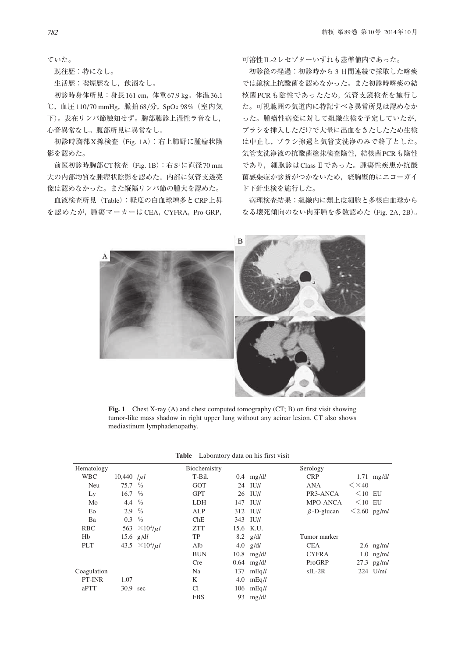ていた。

既往歴:特になし。

生活歴:喫煙歴なし,飲酒なし。

 初診時身体所見:身長161 cm,体重67.9 kg。体温36.1 ℃, 血圧110/70 mmHg, 脈拍68/分, SpO2 98% (室内気 下)。表在リンパ節触知せず。胸部聴診上湿性ラ音なし, 心音異常なし。腹部所見に異常なし。

 初診時胸部X線検査(Fig. 1A):右上肺野に腫瘤状陰 影を認めた。

前医初診時胸部CT検査 (Fig. 1B): 右S<sup>1</sup>に直径70 mm 大の内部均質な腫瘤状陰影を認めた。内部に気管支透亮 像は認めなかった。また縦隔リンパ節の腫大を認めた。

 血液検査所見(Table):軽度の白血球増多とCRP上昇 を認めたが,腫瘍マーカーはCEA,CYFRA,Pro-GRP, 可溶性IL-2レセプターいずれも基準値内であった。

 初診後の経過:初診時から 3 日間連続で採取した喀痰 では鏡検上抗酸菌を認めなかった。また初診時喀痰の結 核菌PCRも陰性であったため,気管支鏡検査を施行し た。可視範囲の気道内に特記すべき異常所見は認めなか った。腫瘤性病変に対して組織生検を予定していたが, ブラシを挿入しただけで大量に出血をきたしたため生検 は中止し,ブラシ擦過と気管支洗浄のみで終了とした。 気管支洗浄液の抗酸菌塗抹検査陰性,結核菌PCRも陰性 であり、細胞診はClass Ⅱであった。腫瘍性疾患か抗酸 菌感染症か診断がつかないため、経胸壁的にエコーガイ ド下針生検を施行した。

 病理検査結果:組織内に類上皮細胞と多核白血球から なる壊死傾向のない肉芽腫を多数認めた(Fig. 2A, 2B)。



**Fig. 1** Chest X-ray (A) and chest computed tomography (CT; B) on first visit showing tumor-like mass shadow in right upper lung without any acinar lesion. CT also shows mediastinum lymphadenopathy.

|  | <b>Table</b> Laboratory data on his first visit |  |  |  |  |  |
|--|-------------------------------------------------|--|--|--|--|--|
|--|-------------------------------------------------|--|--|--|--|--|

| Hematology  |                |                            | Biochemistry |    |              | Serology          |                    |              |
|-------------|----------------|----------------------------|--------------|----|--------------|-------------------|--------------------|--------------|
| <b>WBC</b>  | 10,440 $ \mu $ |                            | T-Bil.       |    | $0.4$ mg/dl  | <b>CRP</b>        |                    | $1.71$ mg/dl |
| Neu         | 75.7           | %                          | GOT          |    | 24 IU/l      | <b>ANA</b>        | $\leq$ $\times$ 40 |              |
| Ly          | 16.7 %         |                            | <b>GPT</b>   |    | $26$ IU/l    | PR3-ANCA          | $\leq$ 10 EU       |              |
| Mo          | 4.4            | %                          | <b>LDH</b>   |    | $147$ IU/l   | MPO-ANCA          | $\leq$ 10 EU       |              |
| Eo          | 2.9            | %                          | ALP          |    | 312 IU/l     | $\beta$ -D-glucan | $\leq$ 2.60 pg/ml  |              |
| Ba          | 0.3            | $\%$                       | ChE          |    | $343$ IU/l   |                   |                    |              |
| <b>RBC</b>  | 563            | $\times 10^4/\mu l$        | <b>ZTT</b>   |    | 15.6 K.U.    |                   |                    |              |
| Hb          |                | 15.6 $g/dl$                | TP           |    | $8.2$ g/dl   | Tumor marker      |                    |              |
| <b>PLT</b>  |                | 43.5 $\times 10^4 / \mu l$ | Alb          |    | 4.0 $g/dl$   | <b>CEA</b>        |                    | 2.6 $ng/ml$  |
|             |                |                            | <b>BUN</b>   |    | $10.8$ mg/dl | <b>CYFRA</b>      |                    | $1.0$ ng/ml  |
|             |                |                            | <b>Cre</b>   |    | $0.64$ mg/dl | ProGRP            |                    | $27.3$ pg/ml |
| Coagulation |                |                            | Na           |    | 137 $mEq/l$  | $sIL-2R$          |                    | $224$ U/ml   |
| PT-INR      | 1.07           |                            | K            |    | 4.0 $mEq/l$  |                   |                    |              |
| aPTT        | 30.9           | sec                        | <b>Cl</b>    |    | $106$ mEq/l  |                   |                    |              |
|             |                |                            | <b>FBS</b>   | 93 | mg/dl        |                   |                    |              |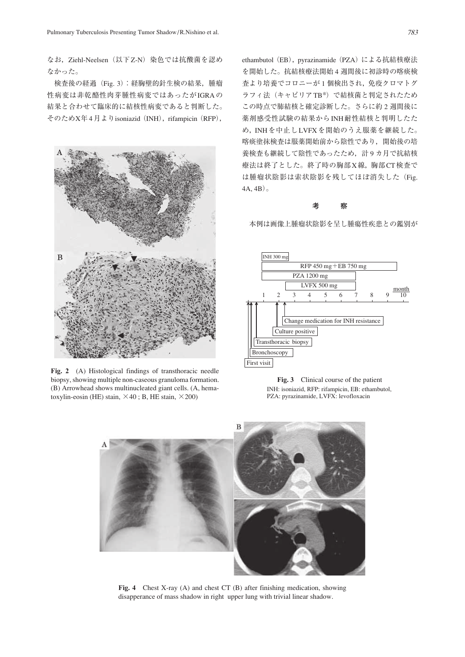なお, Ziehl-Neelsen (以下Z-N) 染色では抗酸菌を認め なかった。

 検査後の経過(Fig. 3):経胸壁的針生検の結果,腫瘤 性病変は非乾酪性肉芽腫性病変ではあったがIGRAの 結果と合わせて臨床的に結核性病変であると判断した。 そのためX年4月よりisoniazid (INH), rifampicin (RFP),



**Fig. 2** (A) Histological findings of transthoracic needle biopsy, showing multiple non-caseous granuloma formation. (B) Arrowhead shows multinucleated giant cells. (A, hematoxylin-eosin (HE) stain,  $\times$ 40; B, HE stain,  $\times$ 200)

ethambutol (EB), pyrazinamide (PZA)による抗結核療法 を開始した。抗結核療法開始 4 週間後に初診時の喀痰検 査より培養でコロニーが 1 個検出され,免疫クロマトグ ラフィ法(キャピリアTB®)で結核菌と判定されたため この時点で肺結核と確定診断した。さらに約 2 週間後に 薬剤感受性試験の結果からINH耐性結核と判明したた め,INHを中止しLVFXを開始のうえ服薬を継続した。 喀痰塗抹検査は服薬開始前から陰性であり,開始後の培 養検査も継続して陰性であったため,計 9 カ月で抗結核 療法は終了とした。終了時の胸部X線,胸部CT検査で は腫瘤状陰影は索状陰影を残してほぼ消失した(Fig.  $(4A, 4B)$ 。

#### **考 察**

本例は画像上腫瘤状陰影を呈し腫瘍性疾患との鑑別が



**Fig. 3** Clinical course of the patient INH: isoniazid, RFP: rifampicin, EB: ethambutol, PZA: pyrazinamide, LVFX: levofloxacin



**Fig. 4** Chest X-ray (A) and chest CT (B) after finishing medication, showing disapperance of mass shadow in right upper lung with trivial linear shadow.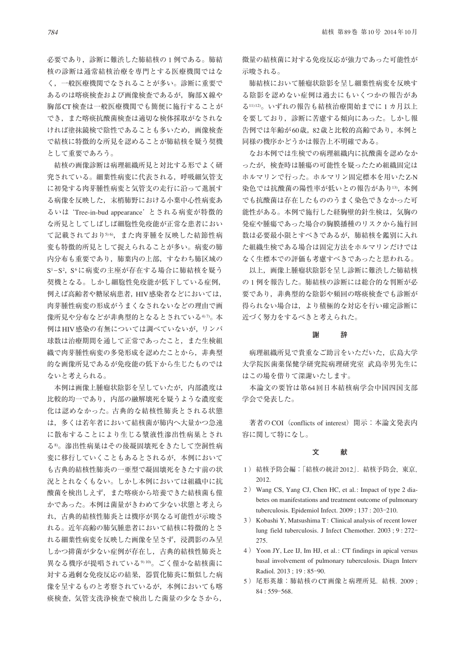必要であり、診断に難渋した肺結核の1例である。肺結 核の診断は通常結核治療を専門とする医療機関ではな く,一般医療機関でなされることが多い。診断に重要で あるのは喀痰検査および画像検査であるが,胸部X線や 胸部CT検査は一般医療機関でも簡便に施行することが でき、また喀痰抗酸菌検査は適切な検体採取がなされな ければ塗抹鏡検で陰性であることも多いため,画像検査 で結核に特徴的な所見を認めることが肺結核を疑う契機 として重要であろう。

 結核の画像診断は病理組織所見と対比する形でよく研 究されている。細葉性病変に代表される,呼吸細気管支 に初発する肉芽腫性病変と気管支の走行に沿って進展す る病像を反映した,末梢肺野における小葉中心性病変あ るいは'Tree-in-bud appearance'とされる病変が特徴的 な所見としてしばしば細胞性免疫能が正常な患者におい て記載されており5)6),また肉芽腫を反映した結節性病 変も特徴的所見として捉えられることが多い。病変の肺 内分布も重要であり,肺葉内の上部,すなわち肺区域の S<sup>1</sup>-S<sup>2</sup>, S<sup>6</sup>に病変の主座が存在する場合に肺結核を疑う 契機となる。しかし細胞性免疫能が低下している症例, 例えば高齢者や糖尿病患者,HIV感染者などにおいては, 肉芽腫性病変の形成がうまくなされないなどの理由で画 像所見や分布などが非典型的となるとされている4の。本 例はHIV感染の有無については調べていないが,リンパ 球数は治療期間を通して正常であったこと,また生検組 織で肉芽腫性病変の多発形成を認めたことから,非典型 的な画像所見であるが免疫能の低下から生じたものでは ないと考えられる。

 本例は画像上腫瘤状陰影を呈していたが,内部濃度は 比較的均一であり,内部の融解壊死を疑うような濃度変 化は認めなかった。古典的な結核性肺炎とされる状態 は,多くは若年者において結核菌が肺内へ大量かつ急速 に散布することにより生じる漿液性滲出性病巣とされ る8)。滲出性病巣はその後凝固壊死をきたして空洞性病 変に移行していくこともあるとされるが,本例において も古典的結核性肺炎の一亜型で凝固壊死をきたす前の状 況ととれなくもない。しかし本例においては組織中に抗 酸菌を検出しえず,また喀痰から培養できた結核菌も僅 かであった。本例は菌量がきわめて少ない状態と考えら れ,古典的結核性肺炎とは機序が異なる可能性が示唆さ れる。近年高齢の肺気腫患者において結核に特徴的とさ れる細葉性病変を反映した画像を呈さず,浸潤影のみ呈 しかつ排菌が少ない症例が存在し,古典的結核性肺炎と 異なる機序が提唱されている910)。ごく僅かな結核菌に 対する過剰な免疫反応の結果,器質化肺炎に類似した病 像を呈するものと考察されているが,本例においても喀 痰検査,気管支洗浄検査で検出した菌量の少なさから,

微量の結核菌に対する免疫反応が強力であった可能性が 示唆される。

 肺結核において腫瘤状陰影を呈し細葉性病変を反映す る陰影を認めない症例は過去にもいくつかの報告があ る11)12)。いずれの報告も結核治療開始までに1カ月以上 を要しており,診断に苦慮する傾向にあった。しかし報 告例では年齢が60歳,82歳と比較的高齢であり,本例と 同様の機序かどうかは報告上不明確である。

 なお本例では生検での病理組織内に抗酸菌を認めなか ったが,検査時は腫瘍の可能性を疑ったため組織固定は ホルマリンで行った。ホルマリン固定標本を用いたZ-N 染色では抗酸菌の陽性率が低いとの報告があり13), 本例 でも抗酸菌は存在したもののうまく染色できなかった可 能性がある。本例で施行した経胸壁的針生検は,気胸の 発症や腫瘍であった場合の胸膜播種のリスクから施行回 数は必要最小限とすべきであるが,肺結核を鑑別に入れ た組織生検である場合は固定方法をホルマリンだけでは なく生標本での評価も考慮すべきであったと思われる。

 以上,画像上腫瘤状陰影を呈し診断に難渋した肺結核 の 1 例を報告した。肺結核の診断には総合的な判断が必 要であり,非典型的な陰影や頻回の喀痰検査でも診断が 得られない場合は,より積極的な対応を行い確定診断に 近づく努力をするべきと考えられた。

#### **謝 辞**

 病理組織所見で貴重なご助言をいただいた,広島大学 大学院医歯薬保健学研究院病理研究室 武島幸男先生に はこの場を借りて深謝いたします。

 本論文の要旨は第64回日本結核病学会中国四国支部 学会で発表した。

著者のCOI (conflicts of interest) 開示:本論文発表内 容に関して特になし。

### **文 献**

- 1 ) 結核予防会編:「結核の統計2012」. 結核予防会, 東京, 2012.
- 2 ) Wang CS, Yang CJ, Chen HC, et al.: Impact of type 2 diabetes on manifestations and treatment outcome of pulmonary tuberculosis. Epidemiol Infect.  $2009$ ;  $137:203-210$ .
- 3 ) Kobashi Y, Matsushima T: Clinical analysis of recent lower lung field tuberculosis. J Infect Chemother. 2003; 9:272-275.
- 4 ) Yoon JY, Lee IJ, Im HJ, et al. : CT findings in apical versus basal involvement of pulmonary tuberculosis. Diagn Interv Radiol. 2013 ; 19 : 85-90.
- 5 ) 尾形英雄:肺結核のCT画像と病理所見. 結核. 2009 ; 84 : 559‒568.